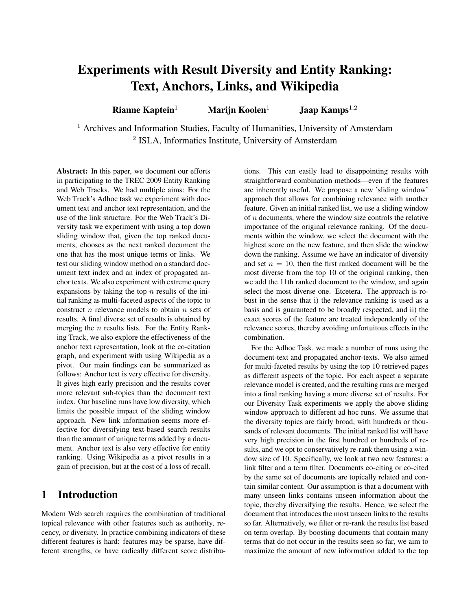# Experiments with Result Diversity and Entity Ranking: Text, Anchors, Links, and Wikipedia

Rianne Kaptein<sup>1</sup> Marijn Koolen<sup>1</sup> Jaap Kamps<sup>1,2</sup>

<sup>1</sup> Archives and Information Studies, Faculty of Humanities, University of Amsterdam <sup>2</sup> ISLA, Informatics Institute, University of Amsterdam

Abstract: In this paper, we document our efforts in participating to the TREC 2009 Entity Ranking and Web Tracks. We had multiple aims: For the Web Track's Adhoc task we experiment with document text and anchor text representation, and the use of the link structure. For the Web Track's Diversity task we experiment with using a top down sliding window that, given the top ranked documents, chooses as the next ranked document the one that has the most unique terms or links. We test our sliding window method on a standard document text index and an index of propagated anchor texts. We also experiment with extreme query expansions by taking the top  $n$  results of the initial ranking as multi-faceted aspects of the topic to construct  $n$  relevance models to obtain  $n$  sets of results. A final diverse set of results is obtained by merging the  $n$  results lists. For the Entity Ranking Track, we also explore the effectiveness of the anchor text representation, look at the co-citation graph, and experiment with using Wikipedia as a pivot. Our main findings can be summarized as follows: Anchor text is very effective for diversity. It gives high early precision and the results cover more relevant sub-topics than the document text index. Our baseline runs have low diversity, which limits the possible impact of the sliding window approach. New link information seems more effective for diversifying text-based search results than the amount of unique terms added by a document. Anchor text is also very effective for entity ranking. Using Wikipedia as a pivot results in a gain of precision, but at the cost of a loss of recall.

# 1 Introduction

Modern Web search requires the combination of traditional topical relevance with other features such as authority, recency, or diversity. In practice combining indicators of these different features is hard: features may be sparse, have different strengths, or have radically different score distributions. This can easily lead to disappointing results with straightforward combination methods—even if the features are inherently useful. We propose a new 'sliding window' approach that allows for combining relevance with another feature. Given an initial ranked list, we use a sliding window of n documents, where the window size controls the relative importance of the original relevance ranking. Of the documents within the window, we select the document with the highest score on the new feature, and then slide the window down the ranking. Assume we have an indicator of diversity and set  $n = 10$ , then the first ranked document will be the most diverse from the top 10 of the original ranking, then we add the 11th ranked document to the window, and again select the most diverse one. Etcetera. The approach is robust in the sense that i) the relevance ranking is used as a basis and is guaranteed to be broadly respected, and ii) the exact scores of the feature are treated independently of the relevance scores, thereby avoiding unfortuitous effects in the combination.

For the Adhoc Task, we made a number of runs using the document-text and propagated anchor-texts. We also aimed for multi-faceted results by using the top 10 retrieved pages as different aspects of the topic. For each aspect a separate relevance model is created, and the resulting runs are merged into a final ranking having a more diverse set of results. For our Diversity Task experiments we apply the above sliding window approach to different ad hoc runs. We assume that the diversity topics are fairly broad, with hundreds or thousands of relevant documents. The initial ranked list will have very high precision in the first hundred or hundreds of results, and we opt to conservatively re-rank them using a window size of 10. Specifically, we look at two new features: a link filter and a term filter. Documents co-citing or co-cited by the same set of documents are topically related and contain similar content. Our assumption is that a document with many unseen links contains unseen information about the topic, thereby diversifying the results. Hence, we select the document that introduces the most unseen links to the results so far. Alternatively, we filter or re-rank the results list based on term overlap. By boosting documents that contain many terms that do not occur in the results seen so far, we aim to maximize the amount of new information added to the top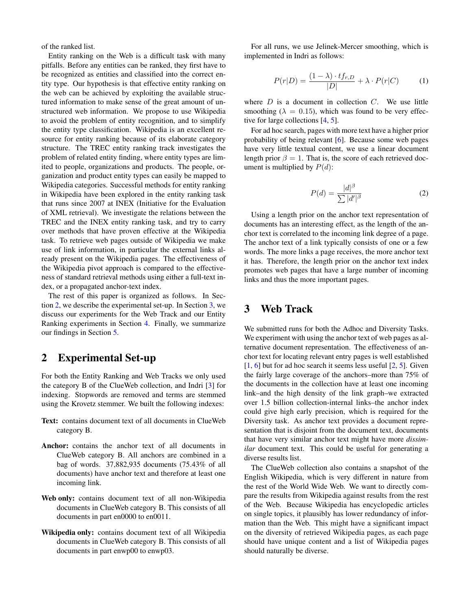of the ranked list.

Entity ranking on the Web is a difficult task with many pitfalls. Before any entities can be ranked, they first have to be recognized as entities and classified into the correct entity type. Our hypothesis is that effective entity ranking on the web can be achieved by exploiting the available structured information to make sense of the great amount of unstructured web information. We propose to use Wikipedia to avoid the problem of entity recognition, and to simplify the entity type classification. Wikipedia is an excellent resource for entity ranking because of its elaborate category structure. The TREC entity ranking track investigates the problem of related entity finding, where entity types are limited to people, organizations and products. The people, organization and product entity types can easily be mapped to Wikipedia categories. Successful methods for entity ranking in Wikipedia have been explored in the entity ranking task that runs since 2007 at INEX (Initiative for the Evaluation of XML retrieval). We investigate the relations between the TREC and the INEX entity ranking task, and try to carry over methods that have proven effective at the Wikipedia task. To retrieve web pages outside of Wikipedia we make use of link information, in particular the external links already present on the Wikipedia pages. The effectiveness of the Wikipedia pivot approach is compared to the effectiveness of standard retrieval methods using either a full-text index, or a propagated anchor-text index.

The rest of this paper is organized as follows. In Section [2,](#page-1-0) we describe the experimental set-up. In Section [3,](#page-1-1) we discuss our experiments for the Web Track and our Entity Ranking experiments in Section [4.](#page-5-0) Finally, we summarize our findings in Section [5.](#page-6-0)

# <span id="page-1-0"></span>2 Experimental Set-up

For both the Entity Ranking and Web Tracks we only used the category B of the ClueWeb collection, and Indri [\[3\]](#page-7-0) for indexing. Stopwords are removed and terms are stemmed using the Krovetz stemmer. We built the following indexes:

- Text: contains document text of all documents in ClueWeb category B.
- Anchor: contains the anchor text of all documents in ClueWeb category B. All anchors are combined in a bag of words. 37,882,935 documents (75.43% of all documents) have anchor text and therefore at least one incoming link.
- Web only: contains document text of all non-Wikipedia documents in ClueWeb category B. This consists of all documents in part en0000 to en0011.
- Wikipedia only: contains document text of all Wikipedia documents in ClueWeb category B. This consists of all documents in part enwp00 to enwp03.

For all runs, we use Jelinek-Mercer smoothing, which is implemented in Indri as follows:

$$
P(r|D) = \frac{(1 - \lambda) \cdot tf_{r,D}}{|D|} + \lambda \cdot P(r|C)
$$
 (1)

where  $D$  is a document in collection  $C$ . We use little smoothing ( $\lambda = 0.15$ ), which was found to be very effective for large collections [\[4,](#page-7-1) [5\]](#page-7-2).

For ad hoc search, pages with more text have a higher prior probability of being relevant [\[6\]](#page-7-3). Because some web pages have very little textual content, we use a linear document length prior  $\beta = 1$ . That is, the score of each retrieved document is multiplied by  $P(d)$ :

$$
P(d) = \frac{|d|^{\beta}}{\sum |d'|^{\beta}}
$$
 (2)

Using a length prior on the anchor text representation of documents has an interesting effect, as the length of the anchor text is correlated to the incoming link degree of a page. The anchor text of a link typically consists of one or a few words. The more links a page receives, the more anchor text it has. Therefore, the length prior on the anchor text index promotes web pages that have a large number of incoming links and thus the more important pages.

# <span id="page-1-1"></span>3 Web Track

We submitted runs for both the Adhoc and Diversity Tasks. We experiment with using the anchor text of web pages as alternative document representation. The effectiveness of anchor text for locating relevant entry pages is well established [\[1,](#page-7-4) [6\]](#page-7-3) but for ad hoc search it seems less useful [\[2,](#page-7-5) [5\]](#page-7-2). Given the fairly large coverage of the anchors–more than 75% of the documents in the collection have at least one incoming link–and the high density of the link graph–we extracted over 1.5 billion collection-internal links–the anchor index could give high early precision, which is required for the Diversity task. As anchor text provides a document representation that is disjoint from the document text, documents that have very similar anchor text might have more *dissimilar* document text. This could be useful for generating a diverse results list.

The ClueWeb collection also contains a snapshot of the English Wikipedia, which is very different in nature from the rest of the World Wide Web. We want to directly compare the results from Wikipedia against results from the rest of the Web. Because Wikipedia has encyclopedic articles on single topics, it plausibly has lower redundancy of information than the Web. This might have a significant impact on the diversity of retrieved Wikipedia pages, as each page should have unique content and a list of Wikipedia pages should naturally be diverse.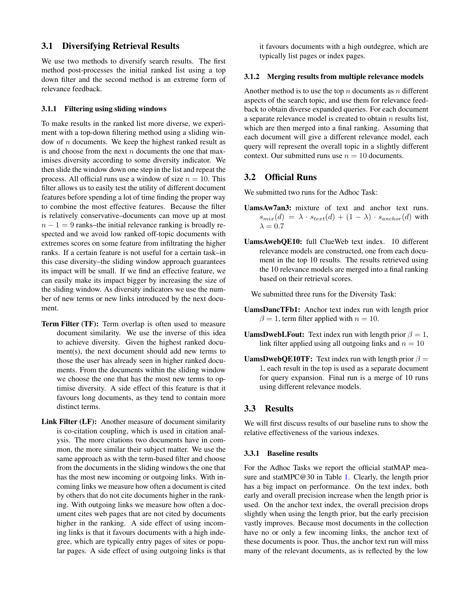### 3.1 Diversifying Retrieval Results

We use two methods to diversify search results. The first method post-processes the initial ranked list using a top down filter and the second method is an extreme form of relevance feedback.

#### 3.1.1 Filtering using sliding windows

To make results in the ranked list more diverse, we experiment with a top-down filtering method using a sliding window of  $n$  documents. We keep the highest ranked result as is and choose from the next  $n$  documents the one that maximises diversity according to some diversity indicator. We then slide the window down one step in the list and repeat the process. All official runs use a window of size  $n = 10$ . This filter allows us to easily test the utility of different document features before spending a lot of time finding the proper way to combine the most effective features. Because the filter is relatively conservative–documents can move up at most  $n - 1 = 9$  ranks–the initial relevance ranking is broadly respected and we avoid low ranked off-topic documents with extremes scores on some feature from infiltrating the higher ranks. If a certain feature is not useful for a certain task–in this case diversity–the sliding window approach guarantees its impact will be small. If we find an effective feature, we can easily make its impact bigger by increasing the size of the sliding window. As diversity indicators we use the number of new terms or new links introduced by the next document.

- Term Filter (TF): Term overlap is often used to measure document similarity. We use the inverse of this idea to achieve diversity. Given the highest ranked document(s), the next document should add new terms to those the user has already seen in higher ranked documents. From the documents within the sliding window we choose the one that has the most new terms to optimise diversity. A side effect of this feature is that it favours long documents, as they tend to contain more distinct terms.
- Link Filter (LF): Another measure of document similarity is co-citation coupling, which is used in citation analysis. The more citations two documents have in common, the more similar their subject matter. We use the same approach as with the term-based filter and choose from the documents in the sliding windows the one that has the most new incoming or outgoing links. With incoming links we measure how often a document is cited by others that do not cite documents higher in the ranking. With outgoing links we measure how often a document cites web pages that are not cited by documents higher in the ranking. A side effect of using incoming links is that it favours documents with a high indegree, which are typically entry pages of sites or popular pages. A side effect of using outgoing links is that

it favours documents with a high outdegree, which are typically list pages or index pages.

#### 3.1.2 Merging results from multiple relevance models

Another method is to use the top  $n$  documents as  $n$  different aspects of the search topic, and use them for relevance feedback to obtain diverse expanded queries. For each document a separate relevance model is created to obtain  $n$  results list, which are then merged into a final ranking. Assuming that each document will give a different relevance model, each query will represent the overall topic in a slightly different context. Our submitted runs use  $n = 10$  documents.

### 3.2 Official Runs

We submitted two runs for the Adhoc Task:

- UamsAw7an3: mixture of text and anchor text runs.  $s_{mix}(d) = \lambda \cdot s_{text}(d) + (1 - \lambda) \cdot s_{anchor}(d)$  with  $\lambda = 0.7$
- UamsAwebQE10: full ClueWeb text index. 10 different relevance models are constructed, one from each document in the top 10 results. The results retrieved using the 10 relevance models are merged into a final ranking based on their retrieval scores.

We submitted three runs for the Diversity Task:

- UamsDancTFb1: Anchor text index run with length prior  $\beta = 1$ , term filter applied with  $n = 10$ .
- **UamsDwebLFout:** Text index run with length prior  $\beta = 1$ , link filter applied using all outgoing links and  $n = 10$
- **UamsDwebQE10TF:** Text index run with length prior  $\beta =$ 1, each result in the top is used as a separate document for query expansion. Final run is a merge of 10 runs using different relevance models.

#### 3.3 Results

We will first discuss results of our baseline runs to show the relative effectiveness of the various indexes.

#### 3.3.1 Baseline results

For the Adhoc Tasks we report the official statMAP measure and statMPC@30 in Table [1.](#page-3-0) Clearly, the length prior has a big impact on performance. On the text index, both early and overall precision increase when the length prior is used. On the anchor text index, the overall precision drops slightly when using the length prior, but the early precision vastly improves. Because most documents in the collection have no or only a few incoming links, the anchor text of these documents is poor. Thus, the anchor text run will miss many of the relevant documents, as is reflected by the low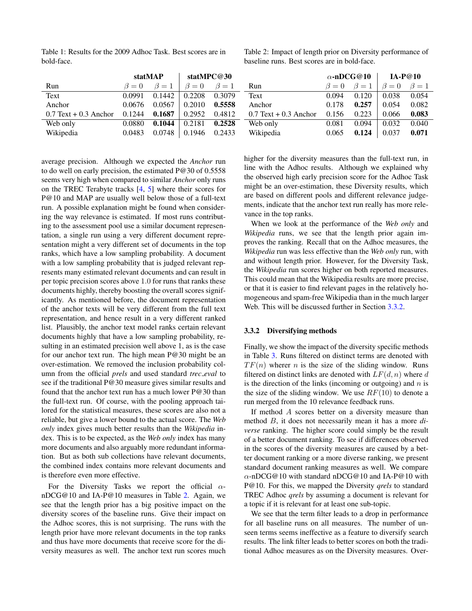<span id="page-3-0"></span>Table 1: Results for the 2009 Adhoc Task. Best scores are in bold-face.

<span id="page-3-1"></span>Table 2: Impact of length prior on Diversity performance of baseline runs. Best scores are in bold-face.

|                         |             | statMAP     | statMPC@30  |             |                         | $\alpha$ -nDCG@10 |             | <b>IA-P@10</b> |           |
|-------------------------|-------------|-------------|-------------|-------------|-------------------------|-------------------|-------------|----------------|-----------|
| Run                     | $\beta = 0$ | $\beta = 1$ | $\beta = 0$ | $\beta = 1$ | Run                     | $\beta = 0$       | $\beta = 1$ | $\beta = 0$    | $\beta=1$ |
| Text                    | 0.0991      | 0.1442      | 0.2208      | 0.3079      | Text                    | 0.094             | 0.120       | 0.038          | 0.054     |
| Anchor                  | 0.0676      | 0.0567      | 0.2010      | 0.5558      | Anchor                  | 0.178             | 0.257       | 0.054          | 0.082     |
| $0.7$ Text + 0.3 Anchor | 0.1244      | 0.1687      | 0.2952      | 0.4812      | $0.7$ Text + 0.3 Anchor | 0.156             | 0.223       | 0.066          | 0.083     |
| Web only                | 0.0880      | 0.1044      | 0.2181      | 0.2528      | Web only                | 0.081             | 0.094       | 0.032          | 0.040     |
| Wikipedia               | 0.0483      | 0.0748      | 0.1946      | 0.2433      | Wikipedia               | 0.065             | 0.124       | 0.037          | 0.071     |

average precision. Although we expected the *Anchor* run to do well on early precision, the estimated P@30 of 0.5558 seems very high when compared to similar *Anchor* only runs on the TREC Terabyte tracks [\[4,](#page-7-1) [5\]](#page-7-2) where their scores for P@10 and MAP are usually well below those of a full-text run. A possible explanation might be found when considering the way relevance is estimated. If most runs contributing to the assessment pool use a similar document representation, a single run using a very different document representation might a very different set of documents in the top ranks, which have a low sampling probability. A document with a low sampling probability that is judged relevant represents many estimated relevant documents and can result in per topic precision scores above 1.0 for runs that ranks these documents highly, thereby boosting the overall scores significantly. As mentioned before, the document representation of the anchor texts will be very different from the full text representation, and hence result in a very different ranked list. Plausibly, the anchor text model ranks certain relevant documents highly that have a low sampling probability, resulting in an estimated precision well above 1, as is the case for our anchor text run. The high mean P@30 might be an over-estimation. We removed the inclusion probability column from the official *prels* and used standard *trec eval* to see if the traditional P@30 measure gives similar results and found that the anchor text run has a much lower P@30 than the full-text run. Of course, with the pooling approach tailored for the statistical measures, these scores are also not a reliable, but give a lower bound to the actual score. The *Web only* index gives much better results than the *Wikipedia* index. This is to be expected, as the *Web only* index has many more documents and also arguably more redundant information. But as both sub collections have relevant documents, the combined index contains more relevant documents and is therefore even more effective.

For the Diversity Tasks we report the official  $\alpha$ nDCG@10 and IA-P@10 measures in Table [2.](#page-3-1) Again, we see that the length prior has a big positive impact on the diversity scores of the baseline runs. Give their impact on the Adhoc scores, this is not surprising. The runs with the length prior have more relevant documents in the top ranks and thus have more documents that receive score for the diversity measures as well. The anchor text run scores much

higher for the diversity measures than the full-text run, in line with the Adhoc results. Although we explained why the observed high early precision score for the Adhoc Task might be an over-estimation, these Diversity results, which are based on different pools and different relevance judgements, indicate that the anchor text run really has more relevance in the top ranks.

When we look at the performance of the *Web only* and *Wikipedia* runs, we see that the length prior again improves the ranking. Recall that on the Adhoc measures, the *Wikipedia* run was less effective than the *Web only* run, with and without length prior. However, for the Diversity Task, the *Wikipedia* run scores higher on both reported measures. This could mean that the Wikipedia results are more precise, or that it is easier to find relevant pages in the relatively homogeneous and spam-free Wikipedia than in the much larger Web. This will be discussed further in Section [3.3.2.](#page-3-2)

#### <span id="page-3-2"></span>3.3.2 Diversifying methods

Finally, we show the impact of the diversity specific methods in Table [3.](#page-4-0) Runs filtered on distinct terms are denoted with  $TF(n)$  wherer *n* is the size of the sliding window. Runs filtered on distinct links are denoted with  $LF(d, n)$  where d is the direction of the links (incoming or outgoing) and  $n$  is the size of the sliding window. We use  $RF(10)$  to denote a run merged from the 10 relevance feedback runs.

If method A scores better on a diversity measure than method B, it does not necessarily mean it has a more *diverse* ranking. The higher score could simply be the result of a better document ranking. To see if differences observed in the scores of the diversity measures are caused by a better document ranking or a more diverse ranking, we present standard document ranking measures as well. We compare  $\alpha$ -nDCG@10 with standard nDCG@10 and IA-P@10 with P@10. For this, we mapped the Diversity *qrels* to standard TREC Adhoc *qrels* by assuming a document is relevant for a topic if it is relevant for at least one sub-topic.

We see that the term filter leads to a drop in performance for all baseline runs on all measures. The number of unseen terms seems ineffective as a feature to diversify search results. The link filter leads to better scores on both the traditional Adhoc measures as on the Diversity measures. Over-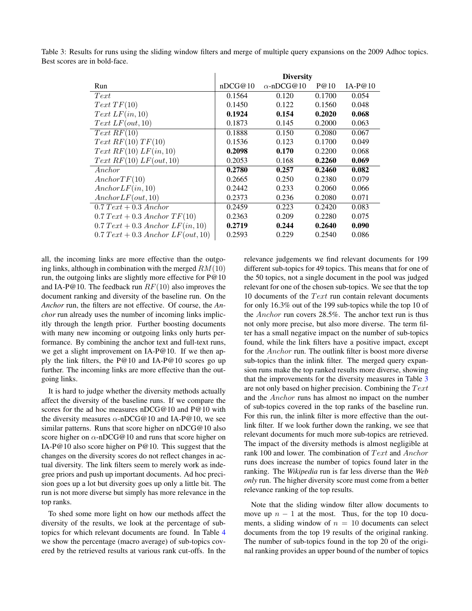|                                                                | <b>Diversity</b> |                   |        |           |  |
|----------------------------------------------------------------|------------------|-------------------|--------|-----------|--|
| Run                                                            | nDCG@10          | $\alpha$ -nDCG@10 | P@10   | $IA-P@10$ |  |
| Text                                                           | 0.1564           | 0.120             | 0.1700 | 0.054     |  |
| Text TF(10)                                                    | 0.1450           | 0.122             | 0.1560 | 0.048     |  |
| Text LF(in, 10)                                                | 0.1924           | 0.154             | 0.2020 | 0.068     |  |
| Text LF(out, 10)                                               | 0.1873           | 0.145             | 0.2000 | 0.063     |  |
| Text RF(10)                                                    | 0.1888           | 0.150             | 0.2080 | 0.067     |  |
| Text RF(10) TF(10)                                             | 0.1536           | 0.123             | 0.1700 | 0.049     |  |
| Text RF(10) LF(in, 10)                                         | 0.2098           | 0.170             | 0.2200 | 0.068     |  |
| Text RF(10) LF(out, 10)                                        | 0.2053           | 0.168             | 0.2260 | 0.069     |  |
| Anchor                                                         | 0.2780           | 0.257             | 0.2460 | 0.082     |  |
| Another TF(10)                                                 | 0.2665           | 0.250             | 0.2380 | 0.079     |  |
| Another LF(in, 10)                                             | 0.2442           | 0.233             | 0.2060 | 0.066     |  |
| Another LF(out, 10)                                            | 0.2373           | 0.236             | 0.2080 | 0.071     |  |
| $0.7 \text{~} \text{Text} + 0.3 \text{~}$ Anchor               | 0.2459           | 0.223             | 0.2420 | 0.083     |  |
| $0.7 \text{ T}ext + 0.3 \text{ } Another \text{ } TF(10)$      | 0.2363           | 0.209             | 0.2280 | 0.075     |  |
| $0.7 \text{ Text} + 0.3 \text{ } Another \text{ } LF(in, 10)$  | 0.2719           | 0.244             | 0.2640 | 0.090     |  |
| $0.7 \text{ Text} + 0.3 \text{ } Another \text{ } LF(out, 10)$ | 0.2593           | 0.229             | 0.2540 | 0.086     |  |

<span id="page-4-0"></span>Table 3: Results for runs using the sliding window filters and merge of multiple query expansions on the 2009 Adhoc topics. Best scores are in bold-face.

all, the incoming links are more effective than the outgoing links, although in combination with the merged  $RM(10)$ run, the outgoing links are slightly more effective for P@10 and IA-P@10. The feedback run  $RF(10)$  also improves the document ranking and diversity of the baseline run. On the *Anchor* run, the filters are not effective. Of course, the *Anchor* run already uses the number of incoming links implicitly through the length prior. Further boosting documents with many new incoming or outgoing links only hurts performance. By combining the anchor text and full-text runs, we get a slight improvement on IA-P@10. If we then apply the link filters, the P@10 and IA-P@10 scores go up further. The incoming links are more effective than the outgoing links.

It is hard to judge whether the diversity methods actually affect the diversity of the baseline runs. If we compare the scores for the ad hoc measures nDCG@10 and  $P@10$  with the diversity measures  $\alpha$ -nDCG@10 and IA-P@10, we see similar patterns. Runs that score higher on nDCG@10 also score higher on  $\alpha$ -nDCG@10 and runs that score higher on IA-P@10 also score higher on P@10. This suggest that the changes on the diversity scores do not reflect changes in actual diversity. The link filters seem to merely work as indegree priors and push up important documents. Ad hoc precision goes up a lot but diversity goes up only a little bit. The run is not more diverse but simply has more relevance in the top ranks.

To shed some more light on how our methods affect the diversity of the results, we look at the percentage of subtopics for which relevant documents are found. In Table [4](#page-5-1) we show the percentage (macro average) of sub-topics covered by the retrieved results at various rank cut-offs. In the

relevance judgements we find relevant documents for 199 different sub-topics for 49 topics. This means that for one of the 50 topics, not a single document in the pool was judged relevant for one of the chosen sub-topics. We see that the top 10 documents of the  $Text$  run contain relevant documents for only 16.3% out of the 199 sub-topics while the top 10 of the Anchor run covers 28.5%. The anchor text run is thus not only more precise, but also more diverse. The term filter has a small negative impact on the number of sub-topics found, while the link filters have a positive impact, except for the Anchor run. The outlink filter is boost more diverse sub-topics than the inlink filter. The merged query expansion runs make the top ranked results more diverse, showing that the improvements for the diversity measures in Table [3](#page-4-0) are not only based on higher precision. Combining the  $Text$ and the Anchor runs has almost no impact on the number of sub-topics covered in the top ranks of the baseline run. For this run, the inlink filter is more effective than the outlink filter. If we look further down the ranking, we see that relevant documents for much more sub-topics are retrieved. The impact of the diversity methods is almost negligible at rank 100 and lower. The combination of  $Text$  and  $Another$ runs does increase the number of topics found later in the ranking. The *Wikipedia* run is far less diverse than the *Web only* run. The higher diversity score must come from a better relevance ranking of the top results.

Note that the sliding window filter allow documents to move up  $n - 1$  at the most. Thus, for the top 10 documents, a sliding window of  $n = 10$  documents can select documents from the top 19 results of the original ranking. The number of sub-topics found in the top 20 of the original ranking provides an upper bound of the number of topics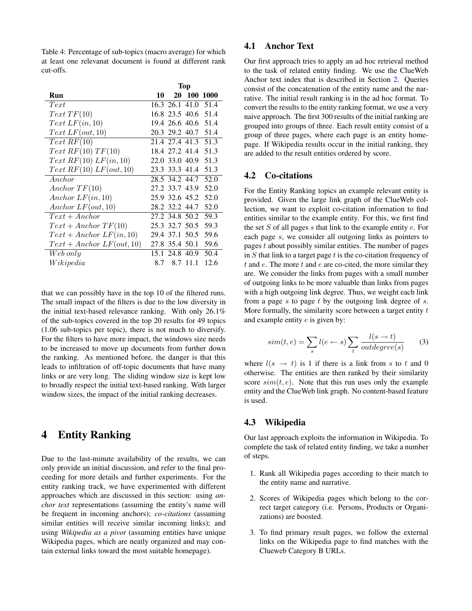<span id="page-5-1"></span>Table 4: Percentage of sub-topics (macro average) for which at least one relevanat document is found at different rank cut-offs.

|                             | <b>Top</b>     |           |           |          |
|-----------------------------|----------------|-----------|-----------|----------|
| Run                         | 10             | <b>20</b> |           | 100 1000 |
| Text                        | 16.3 26.1 41.0 |           |           | 51.4     |
| Text TF(10)                 | 16.8 23.5 40.6 |           |           | 51.4     |
| Text LF(in, 10)             | 19.4 26.6 40.6 |           |           | 51.4     |
| $Text\ LF(out,10)$          | 20.3 29.2 40.7 |           |           | 51.4     |
| Text RF(10)                 | 21.4 27.4 41.3 |           |           | 51.3     |
| Text RF(10) TF(10)          | 18.4 27.2 41.4 |           |           | 51.3     |
| Text RF(10) LF(in, 10)      | 22.0 33.0 40.9 |           |           | 51.3     |
| Text RF(10) LF(out, 10)     | 23.3 33.3 41.4 |           |           | 51.3     |
| Anchor                      | 28.5 34.2 44.7 |           |           | 52.0     |
| Another TF(10)              | 27.2 33.7 43.9 |           |           | 52.0     |
| Anchor $LF(in, 10)$         | 25.9 32.6 45.2 |           |           | 52.0     |
| Anchor $LF(out, 10)$        | 28.2 32.2 44.7 |           |           | 52.0     |
| $Text + Anchor$             | 27.2 34.8 50.2 |           |           | 59.3     |
| $Text + Anchor TF(10)$      | 25.3 32.7 50.5 |           |           | 59.3     |
| $Text + Anchor LF(in, 10)$  | 29.4 37.1 50.5 |           |           | 59.6     |
| $Text + Anchor LF(out, 10)$ | 27.8 35.4 50.1 |           |           | 59.6     |
| Web~only                    | 15.1           |           | 24.8 40.9 | 50.4     |
| Wikipedia                   | 8.7            | 8.7       | 11.1      | 12.6     |

that we can possibly have in the top 10 of the filtered runs. The small impact of the filters is due to the low diversity in the initial text-based relevance ranking. With only 26.1% of the sub-topics covered in the top 20 results for 49 topics (1.06 sub-topics per topic), there is not much to diversify. For the filters to have more impact, the windows size needs to be increased to move up documents from further down the ranking. As mentioned before, the danger is that this leads to infiltration of off-topic documents that have many links or are very long. The sliding window size is kept low to broadly respect the initial text-based ranking. With larger window sizes, the impact of the initial ranking decreases.

# <span id="page-5-0"></span>4 Entity Ranking

Due to the last-minute availability of the results, we can only provide an initial discussion, and refer to the final proceeding for more details and further experiments. For the entity ranking track, we have experimented with different approaches which are discussed in this section: using *anchor text* representations (assuming the entity's name will be frequent in incoming anchors); *co-citations* (assuming similar entities will receive similar incoming links); and using *Wikipedia as a pivot* (assuming entities have unique Wikipedia pages, which are neatly organized and may contain external links toward the most suitable homepage).

## 4.1 Anchor Text

Our first approach tries to apply an ad hoc retrieval method to the task of related entity finding. We use the ClueWeb Anchor text index that is described in Section [2.](#page-1-0) Queries consist of the concatenation of the entity name and the narrative. The initial result ranking is in the ad hoc format. To convert the results to the entity ranking format, we use a very naive approach. The first 300 results of the initial ranking are grouped into groups of three. Each result entity consist of a group of three pages, where each page is an entity homepage. If Wikipedia results occur in the initial ranking, they are added to the result entities ordered by score.

### 4.2 Co-citations

For the Entity Ranking topics an example relevant entity is provided. Given the large link graph of the ClueWeb collection, we want to exploit co-citation information to find entities similar to the example entity. For this, we first find the set  $S$  of all pages  $s$  that link to the example entity  $e$ . For each page s, we consider all outgoing links as pointers to pages  $t$  about possibly similar entities. The number of pages in  $S$  that link to a target page  $t$  is the co-citation frequency of  $t$  and  $e$ . The more  $t$  and  $e$  are co-cited, the more similar they are. We consider the links from pages with a small number of outgoing links to be more valuable than links from pages with a high outgoing link degree. Thus, we weight each link from a page s to page t by the outgoing link degree of s. More formally, the similarity score between a target entity  $t$ and example entity e is given by:

$$
sim(t, e) = \sum_{s} l(e \leftarrow s) \sum_{t} \frac{l(s \rightarrow t)}{outdegree(s)} \tag{3}
$$

where  $l(s \rightarrow t)$  is 1 if there is a link from s to t and 0 otherwise. The entities are then ranked by their similarity score  $sim(t, e)$ . Note that this run uses only the example entity and the ClueWeb link graph. No content-based feature is used.

### 4.3 Wikipedia

Our last approach exploits the information in Wikipedia. To complete the task of related entity finding, we take a number of steps.

- 1. Rank all Wikipedia pages according to their match to the entity name and narrative.
- 2. Scores of Wikipedia pages which belong to the correct target category (i.e. Persons, Products or Organizations) are boosted.
- 3. To find primary result pages, we follow the external links on the Wikipedia page to find matches with the Clueweb Category B URLs.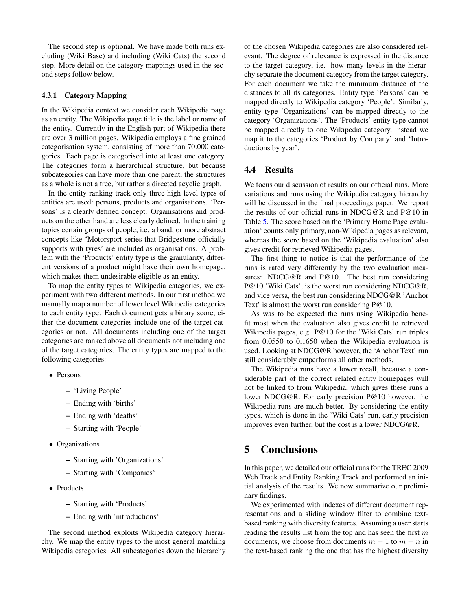The second step is optional. We have made both runs excluding (Wiki Base) and including (Wiki Cats) the second step. More detail on the category mappings used in the second steps follow below.

#### 4.3.1 Category Mapping

In the Wikipedia context we consider each Wikipedia page as an entity. The Wikipedia page title is the label or name of the entity. Currently in the English part of Wikipedia there are over 3 million pages. Wikipedia employs a fine grained categorisation system, consisting of more than 70.000 categories. Each page is categorised into at least one category. The categories form a hierarchical structure, but because subcategories can have more than one parent, the structures as a whole is not a tree, but rather a directed acyclic graph.

In the entity ranking track only three high level types of entities are used: persons, products and organisations. 'Persons' is a clearly defined concept. Organisations and products on the other hand are less clearly defined. In the training topics certain groups of people, i.e. a band, or more abstract concepts like 'Motorsport series that Bridgestone officially supports with tyres' are included as organisations. A problem with the 'Products' entity type is the granularity, different versions of a product might have their own homepage, which makes them undesirable eligible as an entity.

To map the entity types to Wikipedia categories, we experiment with two different methods. In our first method we manually map a number of lower level Wikipedia categories to each entity type. Each document gets a binary score, either the document categories include one of the target categories or not. All documents including one of the target categories are ranked above all documents not including one of the target categories. The entity types are mapped to the following categories:

- Persons
	- 'Living People'
	- Ending with 'births'
	- Ending with 'deaths'
	- Starting with 'People'
- Organizations
	- Starting with 'Organizations'
	- Starting with 'Companies'
- Products
	- Starting with 'Products'
	- Ending with 'introductions'

The second method exploits Wikipedia category hierarchy. We map the entity types to the most general matching Wikipedia categories. All subcategories down the hierarchy of the chosen Wikipedia categories are also considered relevant. The degree of relevance is expressed in the distance to the target category, i.e. how many levels in the hierarchy separate the document category from the target category. For each document we take the minimum distance of the distances to all its categories. Entity type 'Persons' can be mapped directly to Wikipedia category 'People'. Similarly, entity type 'Organizations' can be mapped directly to the category 'Organizations'. The 'Products' entity type cannot be mapped directly to one Wikipedia category, instead we map it to the categories 'Product by Company' and 'Introductions by year'.

### 4.4 Results

We focus our discussion of results on our official runs. More variations and runs using the Wikipedia category hierarchy will be discussed in the final proceedings paper. We report the results of our official runs in NDCG@R and P@10 in Table [5.](#page-7-6) The score based on the 'Primary Home Page evaluation' counts only primary, non-Wikipedia pages as relevant, whereas the score based on the 'Wikipedia evaluation' also gives credit for retrieved Wikipedia pages.

The first thing to notice is that the performance of the runs is rated very differently by the two evaluation measures: NDCG@R and P@10. The best run considering P@10 'Wiki Cats', is the worst run considering NDCG@R, and vice versa, the best run considering NDCG@R 'Anchor Text' is almost the worst run considering P@10.

As was to be expected the runs using Wikipedia benefit most when the evaluation also gives credit to retrieved Wikipedia pages, e.g. P@10 for the 'Wiki Cats' run triples from 0.0550 to 0.1650 when the Wikipedia evaluation is used. Looking at NDCG@R however, the 'Anchor Text' run still considerably outperforms all other methods.

The Wikipedia runs have a lower recall, because a considerable part of the correct related entity homepages will not be linked to from Wikipedia, which gives these runs a lower NDCG@R. For early precision P@10 however, the Wikipedia runs are much better. By considering the entity types, which is done in the 'Wiki Cats' run, early precision improves even further, but the cost is a lower NDCG@R.

# <span id="page-6-0"></span>5 Conclusions

In this paper, we detailed our official runs for the TREC 2009 Web Track and Entity Ranking Track and performed an initial analysis of the results. We now summarize our preliminary findings.

We experimented with indexes of different document representations and a sliding window filter to combine textbased ranking with diversity features. Assuming a user starts reading the results list from the top and has seen the first  $m$ documents, we choose from documents  $m + 1$  to  $m + n$  in the text-based ranking the one that has the highest diversity